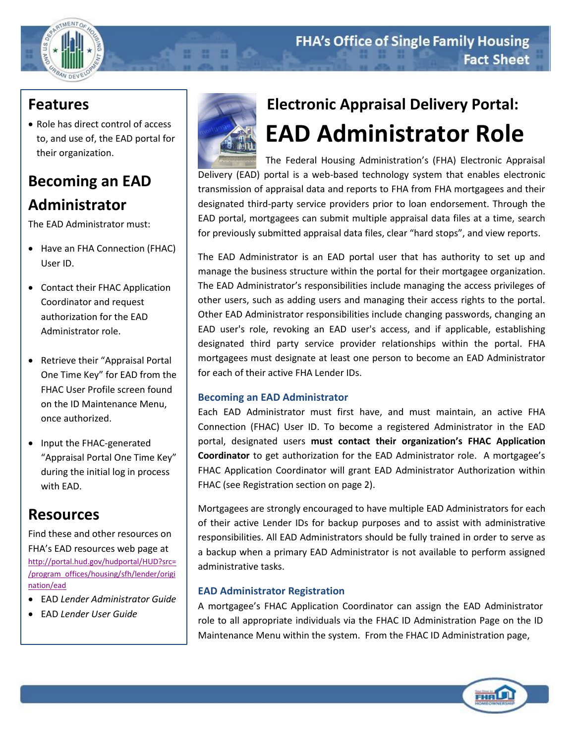

### **Features**

• Role has direct control of access to, and use of, the EAD portal for their organization.

# **Becoming an EAD Administrator**

The EAD Administrator must:

- Have an FHA Connection (FHAC) User ID.
- Contact their FHAC Application Coordinator and request authorization for the EAD Administrator role.
- Retrieve their "Appraisal Portal One Time Key" for EAD from the FHAC User Profile screen found on the ID Maintenance Menu, once authorized.
- Input the FHAC-generated "Appraisal Portal One Time Key" during the initial log in process with EAD.

## **Resources**

Find these and other resources on FHA's EAD resources web page at [http://portal.hud.gov/hudportal/HUD?src=](http://portal.hud.gov/hudportal/HUD?src=/program_offices/housing/sfh/lender/origination/ead) [/program\\_offices/housing/sfh/lender/origi](http://portal.hud.gov/hudportal/HUD?src=/program_offices/housing/sfh/lender/origination/ead) [nation/ead](http://portal.hud.gov/hudportal/HUD?src=/program_offices/housing/sfh/lender/origination/ead)

- EAD *Lender Administrator Guide*
- EAD *Lender User Guide*



. . . .

# **Electronic Appraisal Delivery Portal: EAD Administrator Role**

The Federal Housing Administration's (FHA) Electronic Appraisal Delivery (EAD) portal is a web-based technology system that enables electronic transmission of appraisal data and reports to FHA from FHA mortgagees and their designated third-party service providers prior to loan endorsement. Through the EAD portal, mortgagees can submit multiple appraisal data files at a time, search for previously submitted appraisal data files, clear "hard stops", and view reports.

The EAD Administrator is an EAD portal user that has authority to set up and manage the business structure within the portal for their mortgagee organization. The EAD Administrator's responsibilities include managing the access privileges of other users, such as adding users and managing their access rights to the portal. Other EAD Administrator responsibilities include changing passwords, changing an EAD user's role, revoking an EAD user's access, and if applicable, establishing designated third party service provider relationships within the portal. FHA mortgagees must designate at least one person to become an EAD Administrator for each of their active FHA Lender IDs.

### **Becoming an EAD Administrator**

Each EAD Administrator must first have, and must maintain, an active FHA Connection (FHAC) User ID. To become a registered Administrator in the EAD portal, designated users **must contact their organization's FHAC Application Coordinator** to get authorization for the EAD Administrator role. A mortgagee's FHAC Application Coordinator will grant EAD Administrator Authorization within FHAC (see Registration section on page 2).

Mortgagees are strongly encouraged to have multiple EAD Administrators for each of their active Lender IDs for backup purposes and to assist with administrative responsibilities. All EAD Administrators should be fully trained in order to serve as a backup when a primary EAD Administrator is not available to perform assigned administrative tasks.

### **EAD Administrator Registration**

A mortgagee's FHAC Application Coordinator can assign the EAD Administrator role to all appropriate individuals via the FHAC ID Administration Page on the ID Maintenance Menu within the system. From the FHAC ID Administration page,